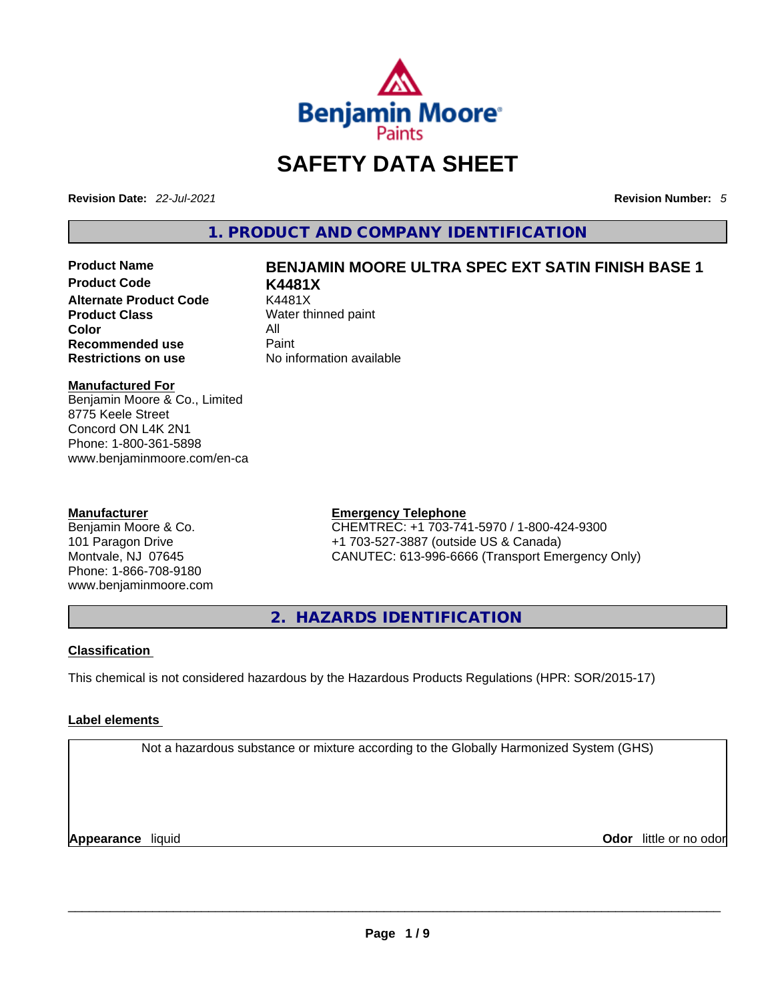

# **SAFETY DATA SHEET**

**Revision Date:** *22-Jul-2021* **Revision Number:** *5*

**1. PRODUCT AND COMPANY IDENTIFICATION** 

**Product Code K4481X Alternate Product Code Product Class Color** All **Recommended use** Paint<br> **Restrictions on use** Mo information available **Restrictions** on use

# **Product Name BENJAMIN MOORE ULTRA SPEC EXT SATIN FINISH BASE 1**

**Water thinned paint** 

## **Manufactured For**

Benjamin Moore & Co., Limited 8775 Keele Street Concord ON L4K 2N1 Phone: 1-800-361-5898 www.benjaminmoore.com/en-ca

## **Manufacturer**

Benjamin Moore & Co. 101 Paragon Drive Montvale, NJ 07645 Phone: 1-866-708-9180 www.benjaminmoore.com

## **Emergency Telephone**

CHEMTREC: +1 703-741-5970 / 1-800-424-9300 +1 703-527-3887 (outside US & Canada) CANUTEC: 613-996-6666 (Transport Emergency Only)

**2. HAZARDS IDENTIFICATION** 

# **Classification**

This chemical is not considered hazardous by the Hazardous Products Regulations (HPR: SOR/2015-17)

# **Label elements**

Not a hazardous substance or mixture according to the Globally Harmonized System (GHS)

**Appearance** liquid **Odor** little or no odor \_\_\_\_\_\_\_\_\_\_\_\_\_\_\_\_\_\_\_\_\_\_\_\_\_\_\_\_\_\_\_\_\_\_\_\_\_\_\_\_\_\_\_\_\_\_\_\_\_\_\_\_\_\_\_\_\_\_\_\_\_\_\_\_\_\_\_\_\_\_\_\_\_\_\_\_\_\_\_\_\_\_\_\_\_\_\_\_\_\_\_\_\_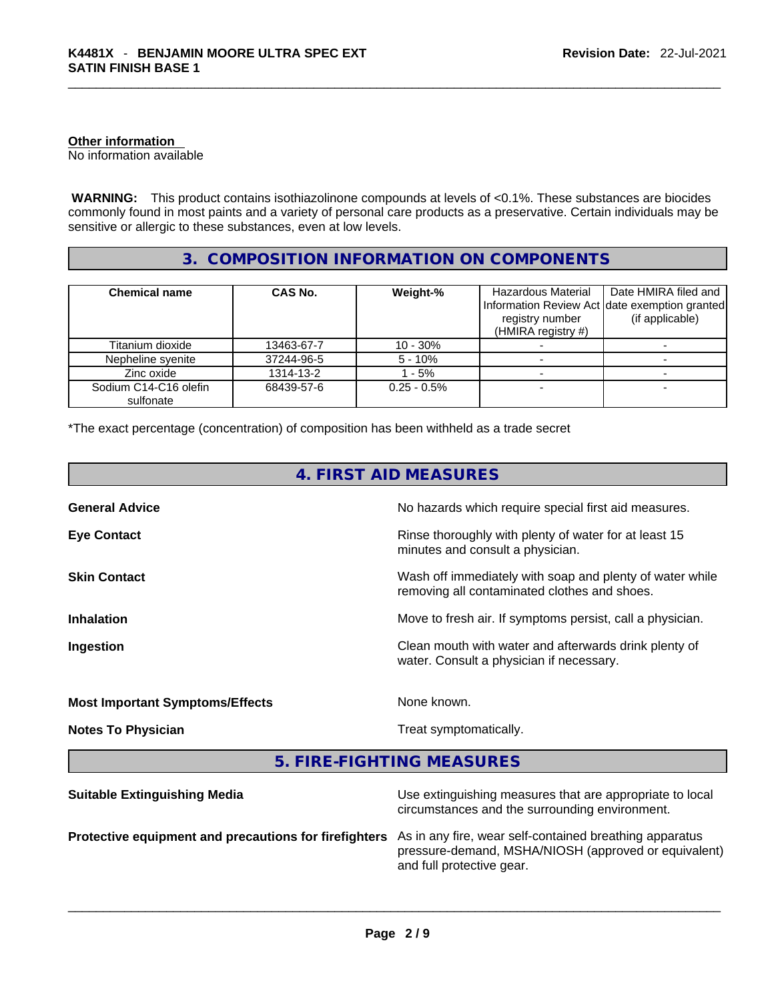# **Other information**

No information available

**WARNING:** This product contains isothiazolinone compounds at levels of <0.1%. These substances are biocides commonly found in most paints and a variety of personal care products as a preservative. Certain individuals may be sensitive or allergic to these substances, even at low levels.

# **3. COMPOSITION INFORMATION ON COMPONENTS**

| <b>Chemical name</b>               | CAS No.    | Weight-%      | Hazardous Material                    | Date HMIRA filed and                                             |
|------------------------------------|------------|---------------|---------------------------------------|------------------------------------------------------------------|
|                                    |            |               | registry number<br>(HMIRA registry #) | Information Review Act date exemption granted<br>(if applicable) |
| Titanium dioxide                   | 13463-67-7 | $10 - 30\%$   |                                       |                                                                  |
| Nepheline syenite                  | 37244-96-5 | $5 - 10%$     |                                       |                                                                  |
| Zinc oxide                         | 1314-13-2  | - 5%          |                                       |                                                                  |
| Sodium C14-C16 olefin<br>sulfonate | 68439-57-6 | $0.25 - 0.5%$ |                                       |                                                                  |

\*The exact percentage (concentration) of composition has been withheld as a trade secret

| 4. FIRST AID MEASURES                  |                                                                                                          |  |
|----------------------------------------|----------------------------------------------------------------------------------------------------------|--|
| <b>General Advice</b>                  | No hazards which require special first aid measures.                                                     |  |
| <b>Eye Contact</b>                     | Rinse thoroughly with plenty of water for at least 15<br>minutes and consult a physician.                |  |
| <b>Skin Contact</b>                    | Wash off immediately with soap and plenty of water while<br>removing all contaminated clothes and shoes. |  |
| <b>Inhalation</b>                      | Move to fresh air. If symptoms persist, call a physician.                                                |  |
| Ingestion                              | Clean mouth with water and afterwards drink plenty of<br>water. Consult a physician if necessary.        |  |
| <b>Most Important Symptoms/Effects</b> | None known.                                                                                              |  |
| <b>Notes To Physician</b>              | Treat symptomatically.                                                                                   |  |
|                                        | 5. FIRE-FIGHTING MEASURES                                                                                |  |
|                                        |                                                                                                          |  |

| As in any fire, wear self-contained breathing apparatus<br>Protective equipment and precautions for firefighters<br>pressure-demand, MSHA/NIOSH (approved or equivalent)<br>and full protective gear. | <b>Suitable Extinguishing Media</b> | Use extinguishing measures that are appropriate to local<br>circumstances and the surrounding environment. |
|-------------------------------------------------------------------------------------------------------------------------------------------------------------------------------------------------------|-------------------------------------|------------------------------------------------------------------------------------------------------------|
|                                                                                                                                                                                                       |                                     |                                                                                                            |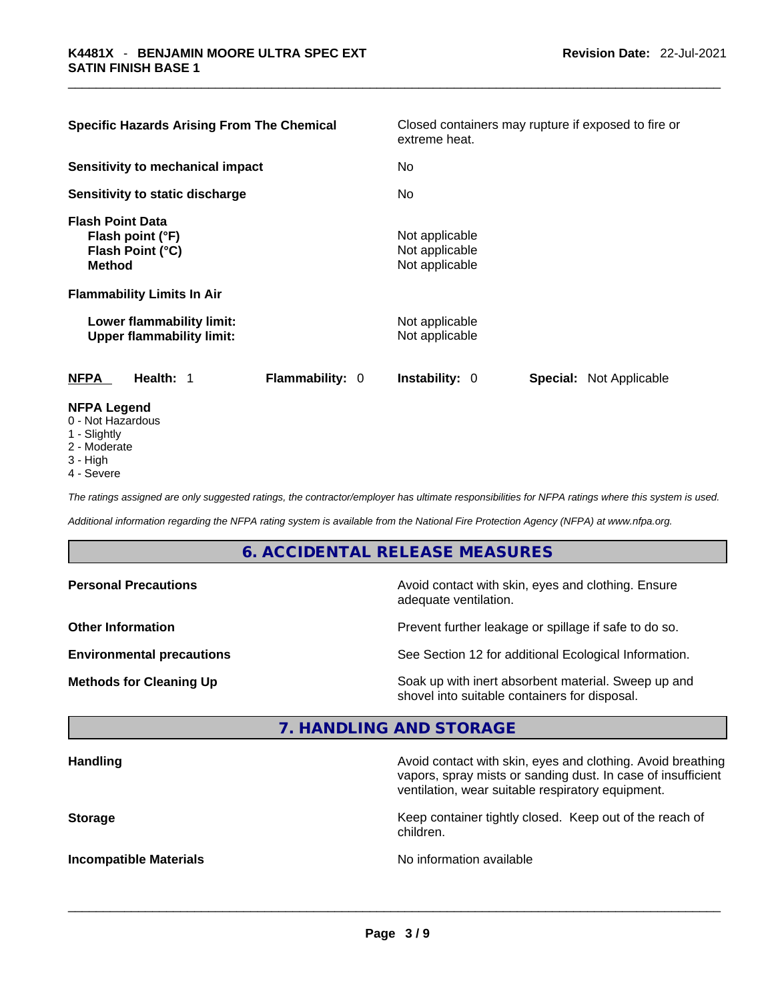| <b>Specific Hazards Arising From The Chemical</b>                                |                        | extreme heat.                                      | Closed containers may rupture if exposed to fire or |  |  |
|----------------------------------------------------------------------------------|------------------------|----------------------------------------------------|-----------------------------------------------------|--|--|
| Sensitivity to mechanical impact                                                 |                        | No                                                 |                                                     |  |  |
| Sensitivity to static discharge                                                  |                        | No                                                 |                                                     |  |  |
| <b>Flash Point Data</b><br>Flash point (°F)<br>Flash Point (°C)<br><b>Method</b> |                        | Not applicable<br>Not applicable<br>Not applicable |                                                     |  |  |
| <b>Flammability Limits In Air</b>                                                |                        |                                                    |                                                     |  |  |
| Lower flammability limit:<br><b>Upper flammability limit:</b>                    |                        | Not applicable<br>Not applicable                   |                                                     |  |  |
| <b>NFPA</b><br>Health: 1                                                         | <b>Flammability: 0</b> | <b>Instability: 0</b>                              | <b>Special: Not Applicable</b>                      |  |  |
| <b>NFPA Legend</b><br>0 - Not Hazardous<br>1 - Slightly                          |                        |                                                    |                                                     |  |  |

- 2 Moderate
- 3 High
- 4 Severe

*The ratings assigned are only suggested ratings, the contractor/employer has ultimate responsibilities for NFPA ratings where this system is used.* 

*Additional information regarding the NFPA rating system is available from the National Fire Protection Agency (NFPA) at www.nfpa.org.* 

# **6. ACCIDENTAL RELEASE MEASURES**

| <b>Personal Precautions</b>      | Avoid contact with skin, eyes and clothing. Ensure<br>adequate ventilation.                          |
|----------------------------------|------------------------------------------------------------------------------------------------------|
| <b>Other Information</b>         | Prevent further leakage or spillage if safe to do so.                                                |
| <b>Environmental precautions</b> | See Section 12 for additional Ecological Information.                                                |
| <b>Methods for Cleaning Up</b>   | Soak up with inert absorbent material. Sweep up and<br>shovel into suitable containers for disposal. |

# **7. HANDLING AND STORAGE**

| <b>Handling</b>               | Avoid contact with skin, eyes and clothing. Avoid breathing<br>vapors, spray mists or sanding dust. In case of insufficient<br>ventilation, wear suitable respiratory equipment. |
|-------------------------------|----------------------------------------------------------------------------------------------------------------------------------------------------------------------------------|
| <b>Storage</b>                | Keep container tightly closed. Keep out of the reach of<br>children.                                                                                                             |
| <b>Incompatible Materials</b> | No information available                                                                                                                                                         |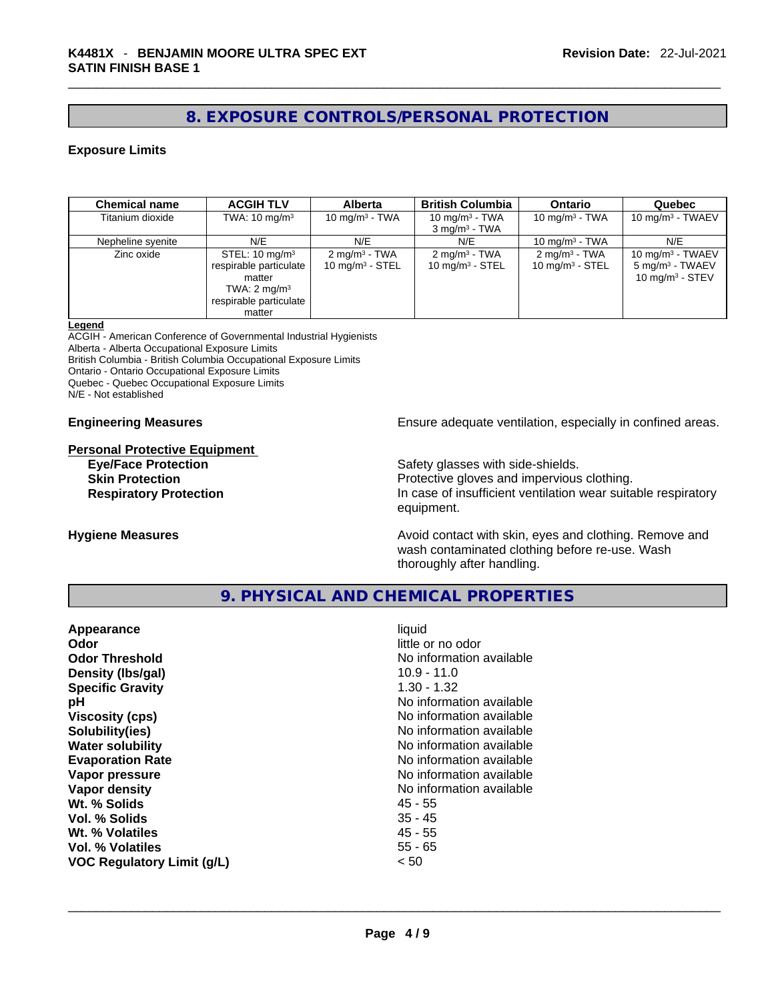# **8. EXPOSURE CONTROLS/PERSONAL PROTECTION**

# **Exposure Limits**

| <b>Chemical name</b> | <b>ACGIH TLV</b>                                                                                                             | <b>Alberta</b>                                        | <b>British Columbia</b>                               | <b>Ontario</b>                                        | Quebec                                                                   |
|----------------------|------------------------------------------------------------------------------------------------------------------------------|-------------------------------------------------------|-------------------------------------------------------|-------------------------------------------------------|--------------------------------------------------------------------------|
| Titanium dioxide     | TWA: $10 \text{ mg/m}^3$                                                                                                     | 10 mg/m $3$ - TWA                                     | 10 mg/m $3$ - TWA<br>$3 \text{ mg/m}^3$ - TWA         | 10 mg/m $3$ - TWA                                     | 10 mg/m $3$ - TWAEV                                                      |
| Nepheline syenite    | N/E                                                                                                                          | N/E                                                   | N/E                                                   | 10 mg/m $3$ - TWA                                     | N/E                                                                      |
| Zinc oxide           | STEL: $10 \text{ mg/m}^3$<br>respirable particulate<br>matter<br>TWA: $2 \text{ mg/m}^3$<br>respirable particulate<br>matter | $2 \text{mq/m}^3$ - TWA<br>$10 \text{ mg/m}^3$ - STEL | $2 \text{mq/m}^3$ - TWA<br>$10 \text{ mg/m}^3$ - STEL | $2 \text{mq/m}^3$ - TWA<br>$10 \text{ mg/m}^3$ - STEL | 10 mg/m $3$ - TWAEV<br>5 mg/m <sup>3</sup> - TWAEV<br>10 mg/m $3 -$ STEV |

#### **Legend**

ACGIH - American Conference of Governmental Industrial Hygienists Alberta - Alberta Occupational Exposure Limits British Columbia - British Columbia Occupational Exposure Limits Ontario - Ontario Occupational Exposure Limits Quebec - Quebec Occupational Exposure Limits N/E - Not established

#### **Personal Protective Equipment**

**Engineering Measures Ensure adequate ventilation, especially in confined areas.** 

**Eye/Face Protection**<br>
Safety glasses with side-shields.<br> **Skin Protection**<br> **Ship Protective gloves and impervious** Protective gloves and impervious clothing. **Respiratory Protection In case of insufficient ventilation wear suitable respiratory** equipment.

**Hygiene Measures Avoid contact with skin, eyes and clothing. Remove and Avoid contact with skin, eyes and clothing. Remove and** wash contaminated clothing before re-use. Wash thoroughly after handling.

# **9. PHYSICAL AND CHEMICAL PROPERTIES**

| liquid<br>little or no odor<br>No information available<br>10.9 - 11.0<br>$1.30 - 1.32$<br>No information available<br>No information available<br>No information available<br>No information available<br>No information available<br>No information available<br>No information available<br>45 - 55<br>$35 - 45$<br>$45 - 55$ |
|----------------------------------------------------------------------------------------------------------------------------------------------------------------------------------------------------------------------------------------------------------------------------------------------------------------------------------|
| $55 - 65$<br>< 50                                                                                                                                                                                                                                                                                                                |
|                                                                                                                                                                                                                                                                                                                                  |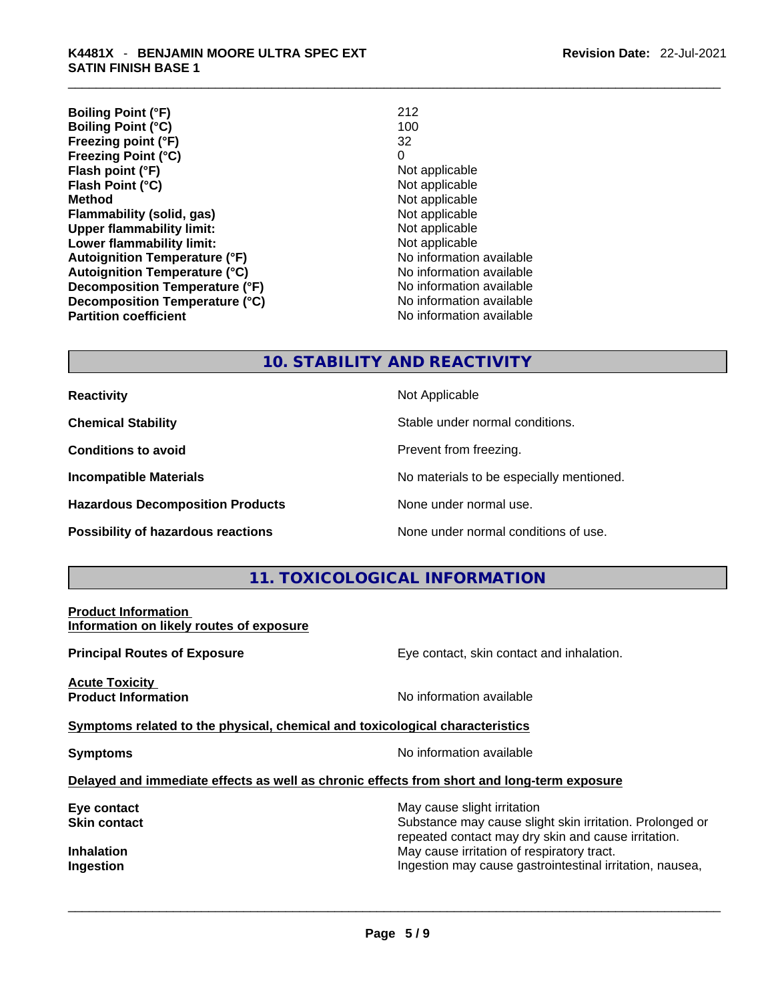| 212                      |
|--------------------------|
| 100                      |
| 32                       |
| 0                        |
| Not applicable           |
| Not applicable           |
| Not applicable           |
| Not applicable           |
| Not applicable           |
| Not applicable           |
| No information available |
| No information available |
| No information available |
| No information available |
| No information available |
|                          |

# **10. STABILITY AND REACTIVITY**

**Reactivity Not Applicable Not Applicable Chemical Stability Chemical Stability** Stable under normal conditions. **Conditions to avoid Prevent from freezing. Incompatible Materials No materials** No materials to be especially mentioned. **Hazardous Decomposition Products** None under normal use. **Possibility of hazardous reactions** None under normal conditions of use.

# **11. TOXICOLOGICAL INFORMATION**

#### **Product Information Information on likely routes of exposure**

**Principal Routes of Exposure Exposure** Eye contact, skin contact and inhalation.

**Acute Toxicity Product Information Information No information available** 

**<u>Symptoms related to the physical, chemical and toxicological characteristics</u>** 

**Symptoms No information available** 

## **Delayed and immediate effects as well as chronic effects from short and long-term exposure**

| May cause slight irritation                              |
|----------------------------------------------------------|
| Substance may cause slight skin irritation. Prolonged or |
| repeated contact may dry skin and cause irritation.      |
| May cause irritation of respiratory tract.               |
| Ingestion may cause gastrointestinal irritation, nausea, |
|                                                          |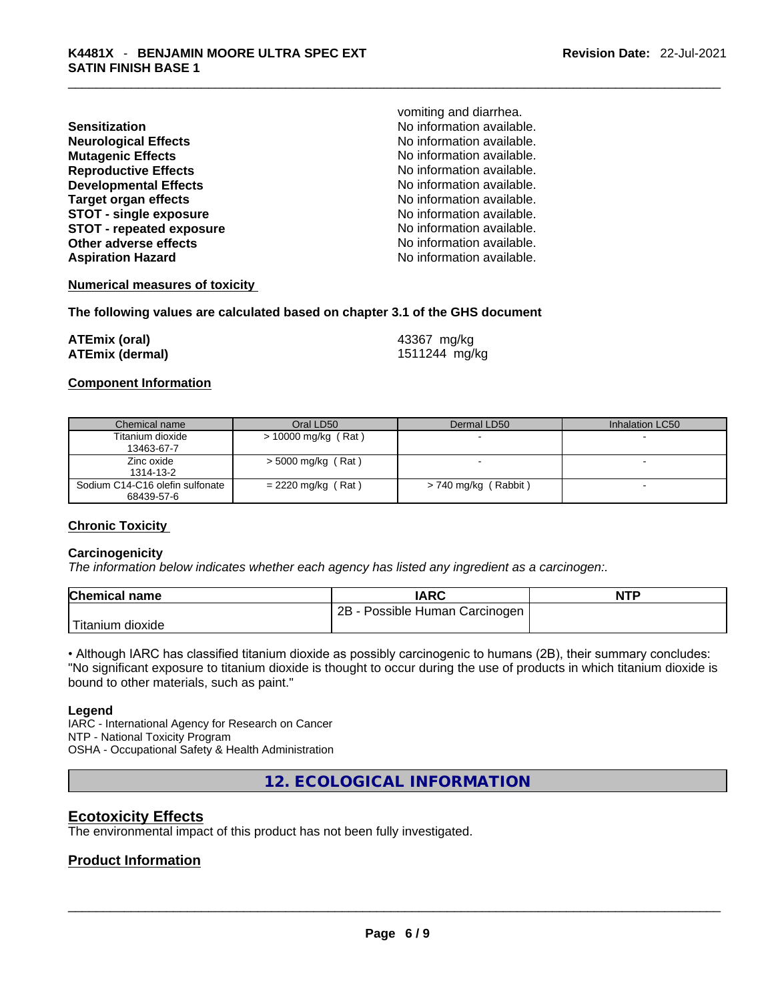| Sensitization                   |
|---------------------------------|
| <b>Neurological Effects</b>     |
| <b>Mutagenic Effects</b>        |
| <b>Reproductive Effects</b>     |
| <b>Developmental Effects</b>    |
| <b>Target organ effects</b>     |
| <b>STOT - single exposure</b>   |
| <b>STOT - repeated exposure</b> |
| Other adverse effects           |
| <b>Aspiration Hazard</b>        |
|                                 |

vomiting and diarrhea. **Sensitization** No information available. **No information available.** No information available. **Reproductive Effects** No information available. No information available. **No information available. STOT - single exposure** No information available. **STOT - repeated exposure** No information available. No information available. No information available.

**Numerical measures of toxicity**

**The following values are calculated based on chapter 3.1 of the GHS document**

| ATEmix (oral)          | 43367 mg/kg   |
|------------------------|---------------|
| <b>ATEmix (dermal)</b> | 1511244 mg/kg |

## **Component Information**

| Chemical name                   | Oral LD50             | Dermal LD50          | Inhalation LC50 |
|---------------------------------|-----------------------|----------------------|-----------------|
| Titanium dioxide                | $> 10000$ mg/kg (Rat) |                      |                 |
| 13463-67-7                      |                       |                      |                 |
| Zinc oxide                      | $>$ 5000 mg/kg (Rat)  |                      | -               |
| 1314-13-2                       |                       |                      |                 |
| Sodium C14-C16 olefin sulfonate | $= 2220$ mg/kg (Rat)  | > 740 mg/kg (Rabbit) |                 |
| 68439-57-6                      |                       |                      |                 |

# **Chronic Toxicity**

## **Carcinogenicity**

*The information below indicates whether each agency has listed any ingredient as a carcinogen:.* 

| <b>Chemical name</b> | IARC                                | <b>NTP</b> |
|----------------------|-------------------------------------|------------|
|                      | 2B<br>3 - Possible Human Carcinogen |            |
| Titanium dioxide     |                                     |            |

• Although IARC has classified titanium dioxide as possibly carcinogenic to humans (2B), their summary concludes: "No significant exposure to titanium dioxide is thought to occur during the use of products in which titanium dioxide is bound to other materials, such as paint."

#### **Legend**

IARC - International Agency for Research on Cancer NTP - National Toxicity Program OSHA - Occupational Safety & Health Administration

**12. ECOLOGICAL INFORMATION** 

# **Ecotoxicity Effects**

The environmental impact of this product has not been fully investigated.

# **Product Information**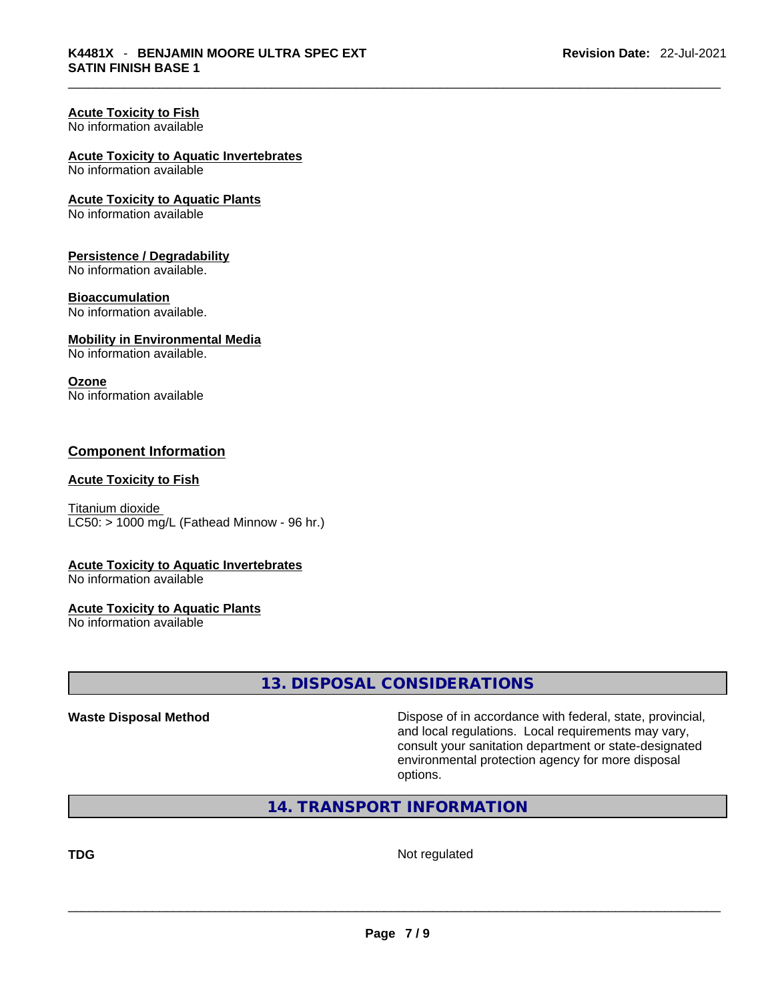# **Acute Toxicity to Fish**

No information available

# **Acute Toxicity to Aquatic Invertebrates**

No information available

## **Acute Toxicity to Aquatic Plants**

No information available

#### **Persistence / Degradability**

No information available.

#### **Bioaccumulation**

No information available.

## **Mobility in Environmental Media**

No information available.

# **Ozone**

No information available

# **Component Information**

#### **Acute Toxicity to Fish**

Titanium dioxide  $LC50:$  > 1000 mg/L (Fathead Minnow - 96 hr.)

## **Acute Toxicity to Aquatic Invertebrates**

No information available

## **Acute Toxicity to Aquatic Plants**

No information available

# **13. DISPOSAL CONSIDERATIONS**

**Waste Disposal Method** Dispose of in accordance with federal, state, provincial, and local regulations. Local requirements may vary, consult your sanitation department or state-designated environmental protection agency for more disposal options.

# **14. TRANSPORT INFORMATION**

**TDG** Not regulated \_\_\_\_\_\_\_\_\_\_\_\_\_\_\_\_\_\_\_\_\_\_\_\_\_\_\_\_\_\_\_\_\_\_\_\_\_\_\_\_\_\_\_\_\_\_\_\_\_\_\_\_\_\_\_\_\_\_\_\_\_\_\_\_\_\_\_\_\_\_\_\_\_\_\_\_\_\_\_\_\_\_\_\_\_\_\_\_\_\_\_\_\_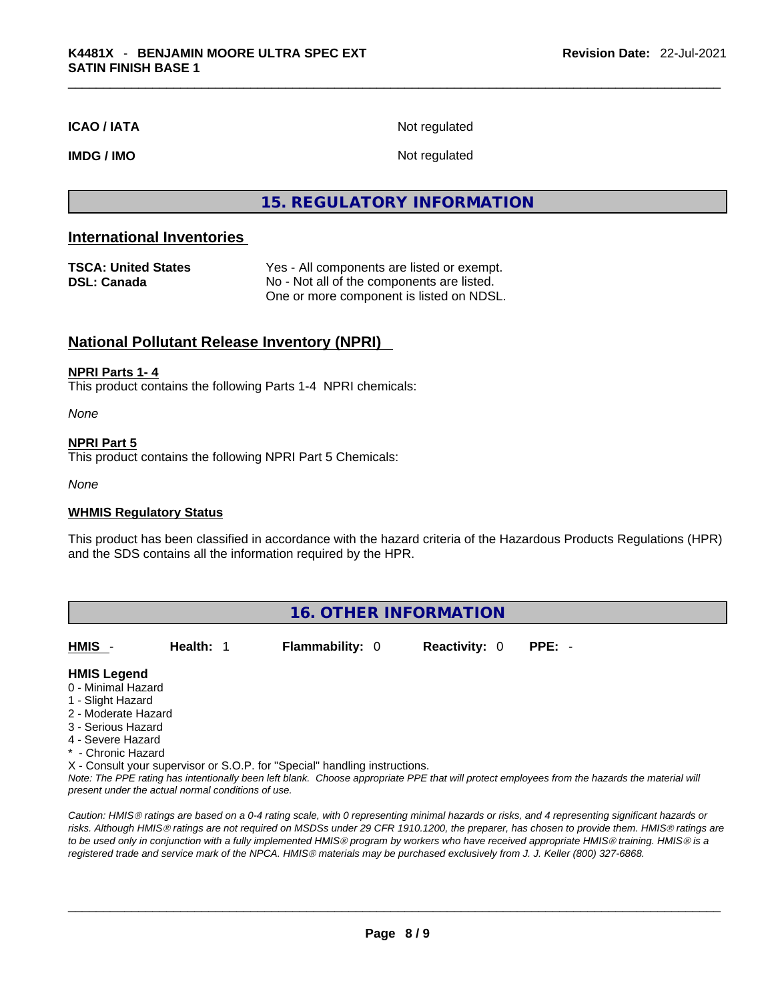**ICAO / IATA** Not regulated

**IMDG / IMO** Not regulated

# **15. REGULATORY INFORMATION**

# **International Inventories**

| <b>TSCA: United States</b> | Yes - All components are listed or exempt. |
|----------------------------|--------------------------------------------|
| DSL: Canada                | No - Not all of the components are listed. |
|                            | One or more component is listed on NDSL.   |

# **National Pollutant Release Inventory (NPRI)**

#### **NPRI Parts 1- 4**

This product contains the following Parts 1-4 NPRI chemicals:

*None*

#### **NPRI Part 5**

This product contains the following NPRI Part 5 Chemicals:

*None*

#### **WHMIS Regulatory Status**

This product has been classified in accordance with the hazard criteria of the Hazardous Products Regulations (HPR) and the SDS contains all the information required by the HPR.

| <b>16. OTHER INFORMATION</b>                                                                                                    |           |                        |                      |        |  |
|---------------------------------------------------------------------------------------------------------------------------------|-----------|------------------------|----------------------|--------|--|
| HMIS -                                                                                                                          | Health: 1 | <b>Flammability: 0</b> | <b>Reactivity: 0</b> | PPE: - |  |
| <b>HMIS Legend</b><br>0 - Minimal Hazard<br>1 - Slight Hazard<br>2 - Moderate Hazard<br>3 - Serious Hazard<br>4 - Severe Hazard |           |                        |                      |        |  |

\* - Chronic Hazard

X - Consult your supervisor or S.O.P. for "Special" handling instructions.

Note: The PPE rating has intentionally been left blank. Choose appropriate PPE that will protect employees from the hazards the material will *present under the actual normal conditions of use.* 

*Caution: HMISÒ ratings are based on a 0-4 rating scale, with 0 representing minimal hazards or risks, and 4 representing significant hazards or risks. Although HMISÒ ratings are not required on MSDSs under 29 CFR 1910.1200, the preparer, has chosen to provide them. HMISÒ ratings are to be used only in conjunction with a fully implemented HMISÒ program by workers who have received appropriate HMISÒ training. HMISÒ is a registered trade and service mark of the NPCA. HMISÒ materials may be purchased exclusively from J. J. Keller (800) 327-6868.*